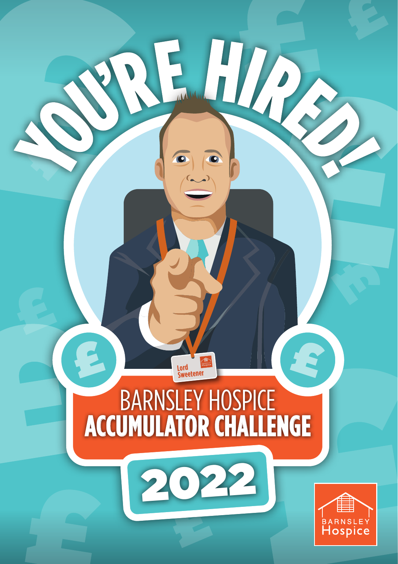